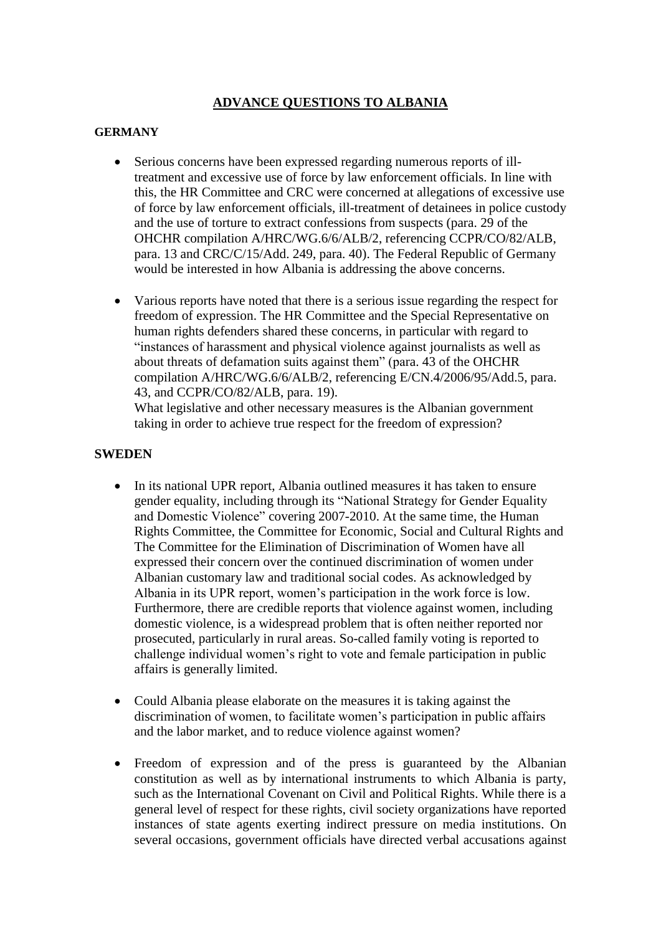## **ADVANCE QUESTIONS TO ALBANIA**

## **GERMANY**

- Serious concerns have been expressed regarding numerous reports of illtreatment and excessive use of force by law enforcement officials. In line with this, the HR Committee and CRC were concerned at allegations of excessive use of force by law enforcement officials, ill-treatment of detainees in police custody and the use of torture to extract confessions from suspects (para. 29 of the OHCHR compilation A/HRC/WG.6/6/ALB/2, referencing CCPR/CO/82/ALB, para. 13 and CRC/C/15/Add. 249, para. 40). The Federal Republic of Germany would be interested in how Albania is addressing the above concerns.
- Various reports have noted that there is a serious issue regarding the respect for freedom of expression. The HR Committee and the Special Representative on human rights defenders shared these concerns, in particular with regard to "instances of harassment and physical violence against journalists as well as about threats of defamation suits against them" (para. 43 of the OHCHR compilation A/HRC/WG.6/6/ALB/2, referencing E/CN.4/2006/95/Add.5, para. 43, and CCPR/CO/82/ALB, para. 19).

What legislative and other necessary measures is the Albanian government taking in order to achieve true respect for the freedom of expression?

## **SWEDEN**

- In its national UPR report, Albania outlined measures it has taken to ensure gender equality, including through its "National Strategy for Gender Equality and Domestic Violence" covering 2007-2010. At the same time, the Human Rights Committee, the Committee for Economic, Social and Cultural Rights and The Committee for the Elimination of Discrimination of Women have all expressed their concern over the continued discrimination of women under Albanian customary law and traditional social codes. As acknowledged by Albania in its UPR report, women's participation in the work force is low. Furthermore, there are credible reports that violence against women, including domestic violence, is a widespread problem that is often neither reported nor prosecuted, particularly in rural areas. So-called family voting is reported to challenge individual women's right to vote and female participation in public affairs is generally limited.
- Could Albania please elaborate on the measures it is taking against the discrimination of women, to facilitate women's participation in public affairs and the labor market, and to reduce violence against women?
- Freedom of expression and of the press is guaranteed by the Albanian constitution as well as by international instruments to which Albania is party, such as the International Covenant on Civil and Political Rights. While there is a general level of respect for these rights, civil society organizations have reported instances of state agents exerting indirect pressure on media institutions. On several occasions, government officials have directed verbal accusations against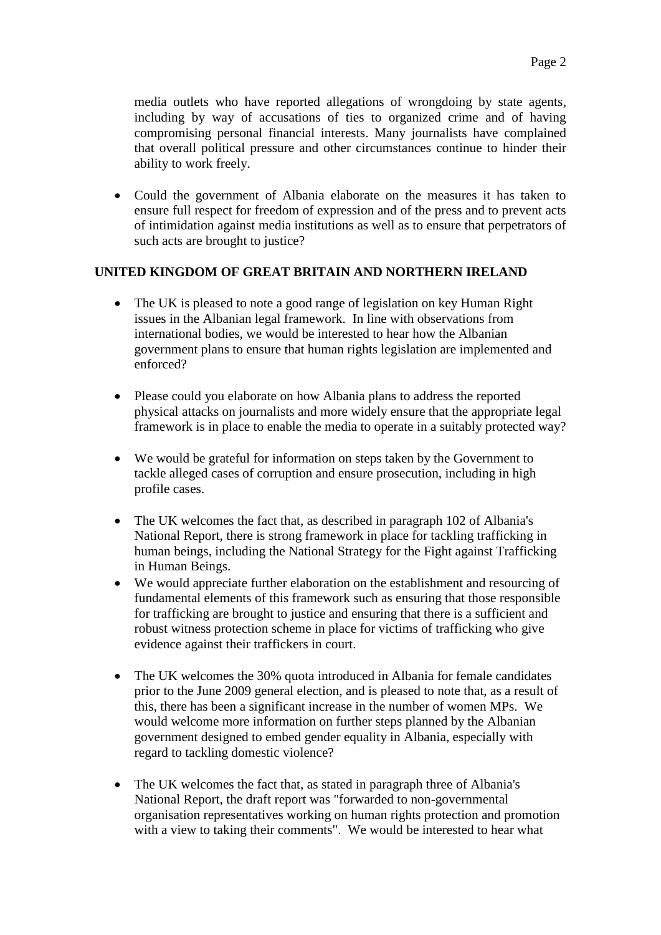media outlets who have reported allegations of wrongdoing by state agents, including by way of accusations of ties to organized crime and of having compromising personal financial interests. Many journalists have complained that overall political pressure and other circumstances continue to hinder their ability to work freely.

 Could the government of Albania elaborate on the measures it has taken to ensure full respect for freedom of expression and of the press and to prevent acts of intimidation against media institutions as well as to ensure that perpetrators of such acts are brought to justice?

## **UNITED KINGDOM OF GREAT BRITAIN AND NORTHERN IRELAND**

- The UK is pleased to note a good range of legislation on key Human Right issues in the Albanian legal framework. In line with observations from international bodies, we would be interested to hear how the Albanian government plans to ensure that human rights legislation are implemented and enforced?
- Please could you elaborate on how Albania plans to address the reported physical attacks on journalists and more widely ensure that the appropriate legal framework is in place to enable the media to operate in a suitably protected way?
- We would be grateful for information on steps taken by the Government to tackle alleged cases of corruption and ensure prosecution, including in high profile cases.
- The UK welcomes the fact that, as described in paragraph 102 of Albania's National Report, there is strong framework in place for tackling trafficking in human beings, including the National Strategy for the Fight against Trafficking in Human Beings.
- We would appreciate further elaboration on the establishment and resourcing of fundamental elements of this framework such as ensuring that those responsible for trafficking are brought to justice and ensuring that there is a sufficient and robust witness protection scheme in place for victims of trafficking who give evidence against their traffickers in court.
- The UK welcomes the 30% quota introduced in Albania for female candidates prior to the June 2009 general election, and is pleased to note that, as a result of this, there has been a significant increase in the number of women MPs. We would welcome more information on further steps planned by the Albanian government designed to embed gender equality in Albania, especially with regard to tackling domestic violence?
- The UK welcomes the fact that, as stated in paragraph three of Albania's National Report, the draft report was "forwarded to non-governmental organisation representatives working on human rights protection and promotion with a view to taking their comments". We would be interested to hear what